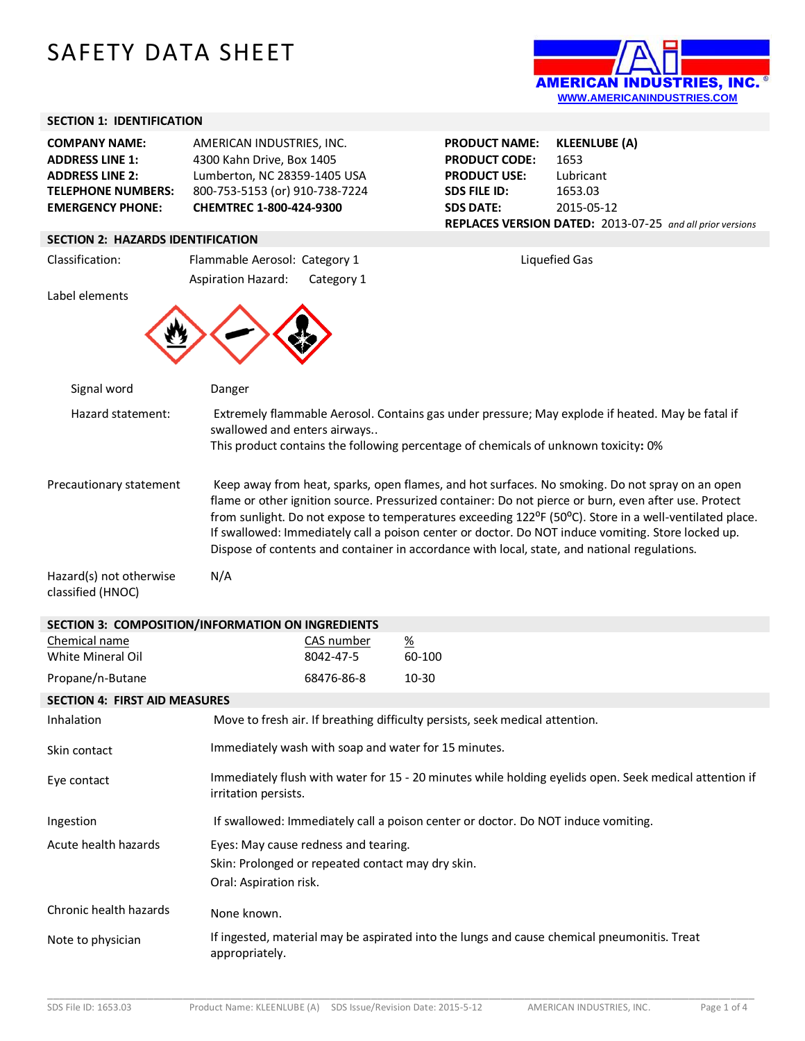# SAFETY DATA SHEET



## **SECTION 1: IDENTIFICATION**

| <b>EMERGENCY PHONE:</b>   | CHEMTREC 1-800-424-9300        |
|---------------------------|--------------------------------|
| <b>TELEPHONE NUMBERS:</b> | 800-753-5153 (or) 910-738-7224 |
| <b>ADDRESS LINE 2:</b>    | Lumberton, NC 28359-1405 USA   |
| <b>ADDRESS LINE 1:</b>    | 4300 Kahn Drive, Box 1405      |
| <b>COMPANY NAME:</b>      | AMERICAN INDUSTRIES, INC.      |

## **SECTION 2: HAZARDS IDENTIFICATION**

| SELIIUN Z: HAZAKUS IUENTIFILATIUN                 |                                                                |                         |                                                                                                                                                                                                                                                                                                                                                                                                                                                                                                                                                    |
|---------------------------------------------------|----------------------------------------------------------------|-------------------------|----------------------------------------------------------------------------------------------------------------------------------------------------------------------------------------------------------------------------------------------------------------------------------------------------------------------------------------------------------------------------------------------------------------------------------------------------------------------------------------------------------------------------------------------------|
| Classification:                                   | Flammable Aerosol: Category 1                                  |                         | <b>Liquefied Gas</b>                                                                                                                                                                                                                                                                                                                                                                                                                                                                                                                               |
| Label elements                                    | <b>Aspiration Hazard:</b>                                      | Category 1              |                                                                                                                                                                                                                                                                                                                                                                                                                                                                                                                                                    |
|                                                   |                                                                |                         |                                                                                                                                                                                                                                                                                                                                                                                                                                                                                                                                                    |
| Signal word                                       | Danger                                                         |                         |                                                                                                                                                                                                                                                                                                                                                                                                                                                                                                                                                    |
| Hazard statement:                                 | swallowed and enters airways                                   |                         | Extremely flammable Aerosol. Contains gas under pressure; May explode if heated. May be fatal if<br>This product contains the following percentage of chemicals of unknown toxicity: 0%                                                                                                                                                                                                                                                                                                                                                            |
| Precautionary statement                           |                                                                |                         | Keep away from heat, sparks, open flames, and hot surfaces. No smoking. Do not spray on an open<br>flame or other ignition source. Pressurized container: Do not pierce or burn, even after use. Protect<br>from sunlight. Do not expose to temperatures exceeding 122 <sup>o</sup> F (50 <sup>o</sup> C). Store in a well-ventilated place.<br>If swallowed: Immediately call a poison center or doctor. Do NOT induce vomiting. Store locked up.<br>Dispose of contents and container in accordance with local, state, and national regulations. |
| Hazard(s) not otherwise<br>classified (HNOC)      | N/A                                                            |                         |                                                                                                                                                                                                                                                                                                                                                                                                                                                                                                                                                    |
| SECTION 3: COMPOSITION/INFORMATION ON INGREDIENTS |                                                                |                         |                                                                                                                                                                                                                                                                                                                                                                                                                                                                                                                                                    |
| Chemical name<br>White Mineral Oil                |                                                                | CAS number<br>8042-47-5 | $\frac{\%}{\%}$<br>60-100                                                                                                                                                                                                                                                                                                                                                                                                                                                                                                                          |
| Propane/n-Butane                                  |                                                                | 68476-86-8              | 10-30                                                                                                                                                                                                                                                                                                                                                                                                                                                                                                                                              |
| <b>SECTION 4: FIRST AID MEASURES</b>              |                                                                |                         |                                                                                                                                                                                                                                                                                                                                                                                                                                                                                                                                                    |
| Inhalation                                        |                                                                |                         | Move to fresh air. If breathing difficulty persists, seek medical attention.                                                                                                                                                                                                                                                                                                                                                                                                                                                                       |
| Skin contact                                      |                                                                |                         | Immediately wash with soap and water for 15 minutes.                                                                                                                                                                                                                                                                                                                                                                                                                                                                                               |
| Eye contact                                       | irritation persists.                                           |                         | Immediately flush with water for 15 - 20 minutes while holding eyelids open. Seek medical attention if                                                                                                                                                                                                                                                                                                                                                                                                                                             |
| Ingestion                                         |                                                                |                         | If swallowed: Immediately call a poison center or doctor. Do NOT induce vomiting.                                                                                                                                                                                                                                                                                                                                                                                                                                                                  |
| Acute health hazards                              | Eyes: May cause redness and tearing.<br>Oral: Aspiration risk. |                         | Skin: Prolonged or repeated contact may dry skin.                                                                                                                                                                                                                                                                                                                                                                                                                                                                                                  |
| Chronic health hazards                            | None known.                                                    |                         |                                                                                                                                                                                                                                                                                                                                                                                                                                                                                                                                                    |
| Note to physician                                 | appropriately.                                                 |                         | If ingested, material may be aspirated into the lungs and cause chemical pneumonitis. Treat                                                                                                                                                                                                                                                                                                                                                                                                                                                        |



**PRODUCT NAME: KLEENLUBE (A) PRODUCT CODE:** 1653 **PRODUCT USE:** Lubricant **SDS FILE ID:** 1653.03 **SDS DATE:** 2015-05-12 **REPLACES VERSION DATED:** 2013-07-25 *and all prior versions*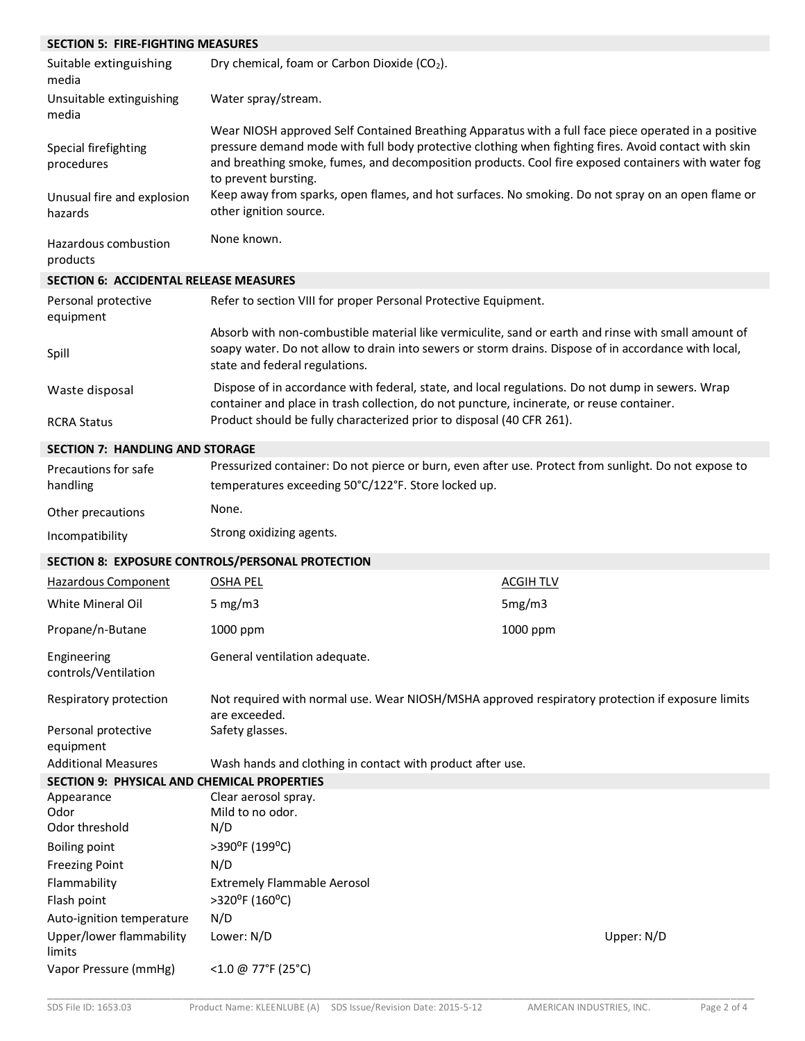| <b>SECTION 5: FIRE-FIGHTING MEASURES</b>           |                                                                                                                                                                                                                                                                                                                                             |                  |
|----------------------------------------------------|---------------------------------------------------------------------------------------------------------------------------------------------------------------------------------------------------------------------------------------------------------------------------------------------------------------------------------------------|------------------|
| Suitable extinguishing<br>media                    | Dry chemical, foam or Carbon Dioxide (CO2).                                                                                                                                                                                                                                                                                                 |                  |
| Unsuitable extinguishing<br>media                  | Water spray/stream.                                                                                                                                                                                                                                                                                                                         |                  |
| Special firefighting<br>procedures                 | Wear NIOSH approved Self Contained Breathing Apparatus with a full face piece operated in a positive<br>pressure demand mode with full body protective clothing when fighting fires. Avoid contact with skin<br>and breathing smoke, fumes, and decomposition products. Cool fire exposed containers with water fog<br>to prevent bursting. |                  |
| Unusual fire and explosion<br>hazards              | Keep away from sparks, open flames, and hot surfaces. No smoking. Do not spray on an open flame or<br>other ignition source.                                                                                                                                                                                                                |                  |
| Hazardous combustion<br>products                   | None known.                                                                                                                                                                                                                                                                                                                                 |                  |
| <b>SECTION 6: ACCIDENTAL RELEASE MEASURES</b>      |                                                                                                                                                                                                                                                                                                                                             |                  |
| Personal protective<br>equipment                   | Refer to section VIII for proper Personal Protective Equipment.                                                                                                                                                                                                                                                                             |                  |
| Spill                                              | Absorb with non-combustible material like vermiculite, sand or earth and rinse with small amount of<br>soapy water. Do not allow to drain into sewers or storm drains. Dispose of in accordance with local,<br>state and federal regulations.                                                                                               |                  |
| Waste disposal                                     | Dispose of in accordance with federal, state, and local regulations. Do not dump in sewers. Wrap<br>container and place in trash collection, do not puncture, incinerate, or reuse container.                                                                                                                                               |                  |
| <b>RCRA Status</b>                                 | Product should be fully characterized prior to disposal (40 CFR 261).                                                                                                                                                                                                                                                                       |                  |
| <b>SECTION 7: HANDLING AND STORAGE</b>             |                                                                                                                                                                                                                                                                                                                                             |                  |
| Precautions for safe                               | Pressurized container: Do not pierce or burn, even after use. Protect from sunlight. Do not expose to                                                                                                                                                                                                                                       |                  |
| handling                                           | temperatures exceeding 50°C/122°F. Store locked up.                                                                                                                                                                                                                                                                                         |                  |
| Other precautions                                  | None.                                                                                                                                                                                                                                                                                                                                       |                  |
| Incompatibility                                    | Strong oxidizing agents.                                                                                                                                                                                                                                                                                                                    |                  |
|                                                    | SECTION 8: EXPOSURE CONTROLS/PERSONAL PROTECTION                                                                                                                                                                                                                                                                                            |                  |
| <b>Hazardous Component</b>                         | <b>OSHA PEL</b>                                                                                                                                                                                                                                                                                                                             | <b>ACGIH TLV</b> |
| <b>White Mineral Oil</b>                           | 5 mg/m $3$                                                                                                                                                                                                                                                                                                                                  | 5mg/m3           |
| Propane/n-Butane                                   | 1000 ppm                                                                                                                                                                                                                                                                                                                                    | 1000 ppm         |
| Engineering<br>controls/Ventilation                | General ventilation adequate.                                                                                                                                                                                                                                                                                                               |                  |
| Respiratory protection                             | Not required with normal use. Wear NIOSH/MSHA approved respiratory protection if exposure limits<br>are exceeded.                                                                                                                                                                                                                           |                  |
| Personal protective<br>equipment                   | Safety glasses.                                                                                                                                                                                                                                                                                                                             |                  |
| <b>Additional Measures</b>                         | Wash hands and clothing in contact with product after use.                                                                                                                                                                                                                                                                                  |                  |
| <b>SECTION 9: PHYSICAL AND CHEMICAL PROPERTIES</b> |                                                                                                                                                                                                                                                                                                                                             |                  |
| Appearance<br>Odor                                 | Clear aerosol spray.<br>Mild to no odor.                                                                                                                                                                                                                                                                                                    |                  |
| Odor threshold                                     | N/D                                                                                                                                                                                                                                                                                                                                         |                  |
| <b>Boiling point</b>                               | >390°F (199°C)                                                                                                                                                                                                                                                                                                                              |                  |
| <b>Freezing Point</b>                              | N/D                                                                                                                                                                                                                                                                                                                                         |                  |
| Flammability                                       | <b>Extremely Flammable Aerosol</b>                                                                                                                                                                                                                                                                                                          |                  |
| Flash point                                        | >320°F (160°C)                                                                                                                                                                                                                                                                                                                              |                  |
| Auto-ignition temperature                          | N/D                                                                                                                                                                                                                                                                                                                                         |                  |
| Upper/lower flammability<br>limits                 | Lower: N/D                                                                                                                                                                                                                                                                                                                                  | Upper: N/D       |

Vapor Pressure (mmHg) <1.0 @ 77°F (25°C)

\_\_\_\_\_\_\_\_\_\_\_\_\_\_\_\_\_\_\_\_\_\_\_\_\_\_\_\_\_\_\_\_\_\_\_\_\_\_\_\_\_\_\_\_\_\_\_\_\_\_\_\_\_\_\_\_\_\_\_\_\_\_\_\_\_\_\_\_\_\_\_\_\_\_\_\_\_\_\_\_\_\_\_\_\_\_\_\_\_\_\_\_\_\_\_\_\_\_\_\_\_\_\_\_\_\_\_\_\_\_\_\_\_\_\_\_\_\_\_\_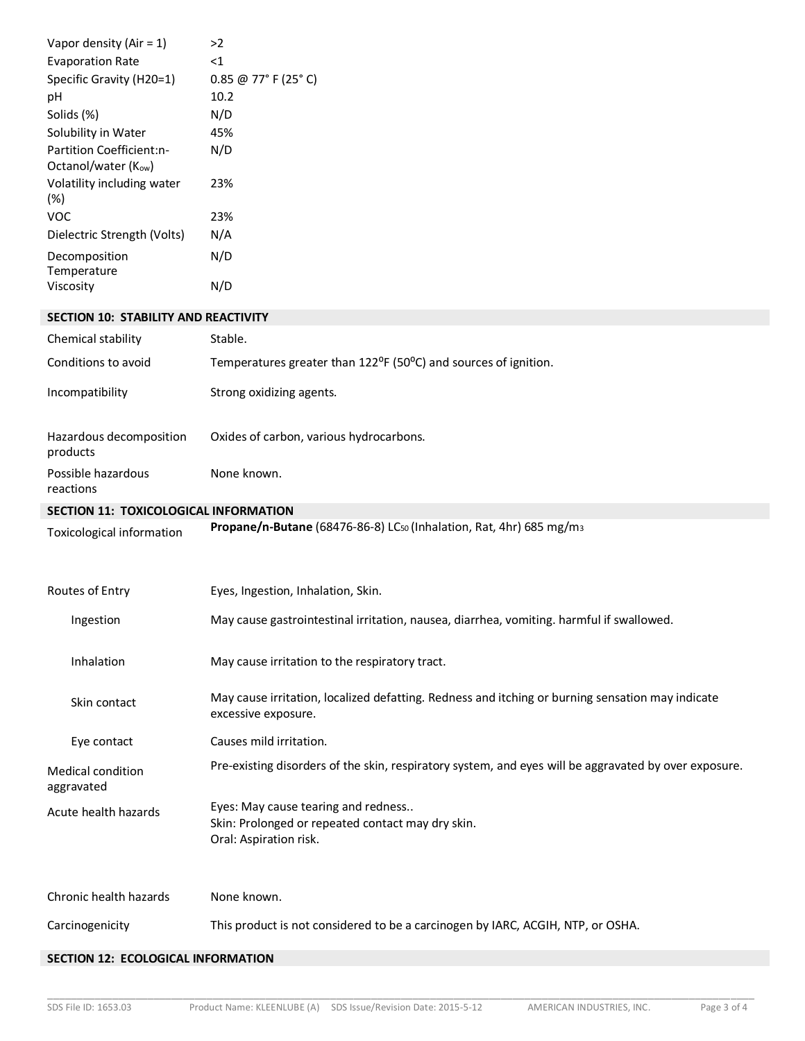| Vapor density (Air = $1$ )                      | >2                                                                                                                      |
|-------------------------------------------------|-------------------------------------------------------------------------------------------------------------------------|
| <b>Evaporation Rate</b>                         | $\leq 1$                                                                                                                |
| Specific Gravity (H20=1)                        | 0.85 @ 77° F (25° C)                                                                                                    |
| pH                                              | 10.2                                                                                                                    |
| Solids (%)                                      | N/D                                                                                                                     |
| Solubility in Water                             | 45%                                                                                                                     |
| Partition Coefficient:n-<br>Octanol/water (Kow) | N/D                                                                                                                     |
| Volatility including water<br>$(\%)$            | 23%                                                                                                                     |
| <b>VOC</b>                                      | 23%                                                                                                                     |
| Dielectric Strength (Volts)                     | N/A                                                                                                                     |
| Decomposition<br>Temperature                    | N/D                                                                                                                     |
| Viscosity                                       | N/D                                                                                                                     |
| SECTION 10: STABILITY AND REACTIVITY            |                                                                                                                         |
| Chemical stability                              | Stable.                                                                                                                 |
| Conditions to avoid                             | Temperatures greater than 122 <sup>o</sup> F (50 <sup>o</sup> C) and sources of ignition.                               |
| Incompatibility                                 | Strong oxidizing agents.                                                                                                |
| Hazardous decomposition<br>products             | Oxides of carbon, various hydrocarbons.                                                                                 |
| Possible hazardous<br>reactions                 | None known.                                                                                                             |
| SECTION 11: TOXICOLOGICAL INFORMATION           |                                                                                                                         |
| Toxicological information                       | Propane/n-Butane (68476-86-8) LC <sub>50</sub> (Inhalation, Rat, 4hr) 685 mg/m <sub>3</sub>                             |
| Routes of Entry                                 | Eyes, Ingestion, Inhalation, Skin.                                                                                      |
| Ingestion                                       | May cause gastrointestinal irritation, nausea, diarrhea, vomiting. harmful if swallowed.                                |
| Inhalation                                      | May cause irritation to the respiratory tract.                                                                          |
| Skin contact                                    | May cause irritation, localized defatting. Redness and itching or burning sensation may indicate<br>excessive exposure. |
| Eye contact                                     | Causes mild irritation.                                                                                                 |
| Medical condition<br>aggravated                 | Pre-existing disorders of the skin, respiratory system, and eyes will be aggravated by over exposure.                   |
| Acute health hazards                            | Eyes: May cause tearing and redness<br>Skin: Prolonged or repeated contact may dry skin.<br>Oral: Aspiration risk.      |
| Chronic health hazards                          | None known.                                                                                                             |
|                                                 |                                                                                                                         |
| Carcinogenicity                                 | This product is not considered to be a carcinogen by IARC, ACGIH, NTP, or OSHA.                                         |

## **SECTION 12: ECOLOGICAL INFORMATION**

\_\_\_\_\_\_\_\_\_\_\_\_\_\_\_\_\_\_\_\_\_\_\_\_\_\_\_\_\_\_\_\_\_\_\_\_\_\_\_\_\_\_\_\_\_\_\_\_\_\_\_\_\_\_\_\_\_\_\_\_\_\_\_\_\_\_\_\_\_\_\_\_\_\_\_\_\_\_\_\_\_\_\_\_\_\_\_\_\_\_\_\_\_\_\_\_\_\_\_\_\_\_\_\_\_\_\_\_\_\_\_\_\_\_\_\_\_\_\_\_